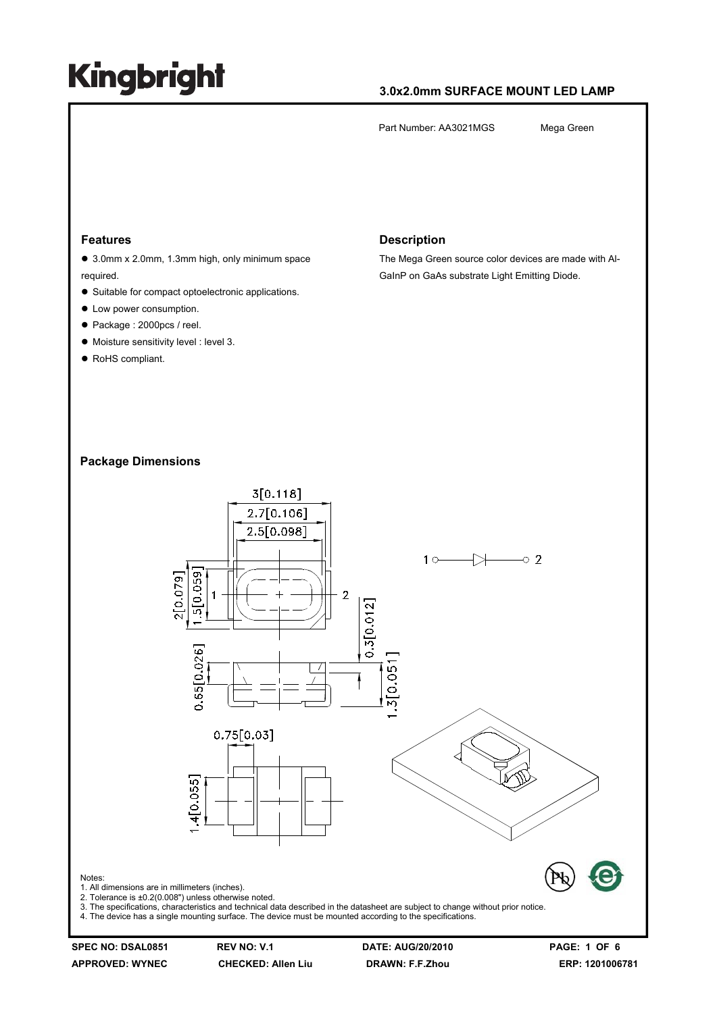### **3.0x2.0mm SURFACE MOUNT LED LAMP**

Part Number: AA3021MGS Mega Green

#### **Features**

● 3.0mm x 2.0mm, 1.3mm high, only minimum space required.

- Suitable for compact optoelectronic applications.
- $\bullet$  Low power consumption.
- Package : 2000pcs / reel.
- $\bullet$  Moisture sensitivity level : level 3.
- RoHS compliant.

#### **Description**

The Mega Green source color devices are made with Al-GaInP on GaAs substrate Light Emitting Diode.

### **Package Dimensions**



3. The specifications, characteristics and technical data described in the datasheet are subject to change without prior notice.

4. The device has a single mounting surface. The device must be mounted according to the specifications.

Notes:

**SPEC NO: DSAL0851 REV NO: V.1 DATE: AUG/20/2010 PAGE: 1 OF 6**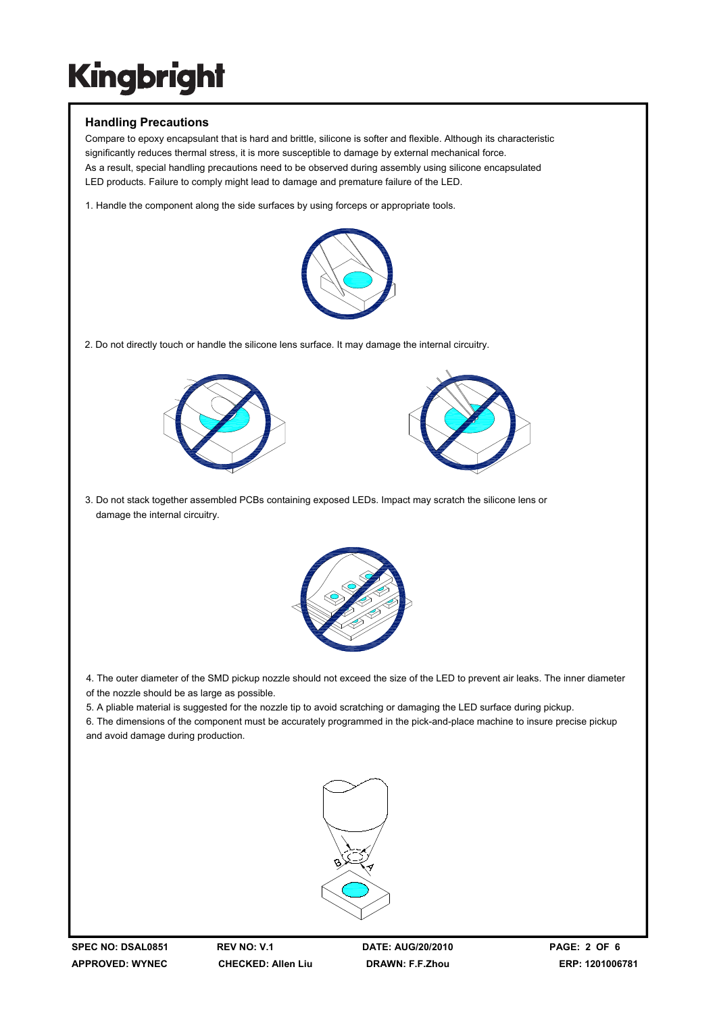### **Handling Precautions**

Compare to epoxy encapsulant that is hard and brittle, silicone is softer and flexible. Although its characteristic significantly reduces thermal stress, it is more susceptible to damage by external mechanical force. As a result, special handling precautions need to be observed during assembly using silicone encapsulated LED products. Failure to comply might lead to damage and premature failure of the LED.

1. Handle the component along the side surfaces by using forceps or appropriate tools.



2. Do not directly touch or handle the silicone lens surface. It may damage the internal circuitry.





3. Do not stack together assembled PCBs containing exposed LEDs. Impact may scratch the silicone lens or damage the internal circuitry.



4. The outer diameter of the SMD pickup nozzle should not exceed the size of the LED to prevent air leaks. The inner diameter of the nozzle should be as large as possible.

5. A pliable material is suggested for the nozzle tip to avoid scratching or damaging the LED surface during pickup.

6. The dimensions of the component must be accurately programmed in the pick-and-place machine to insure precise pickup and avoid damage during production.

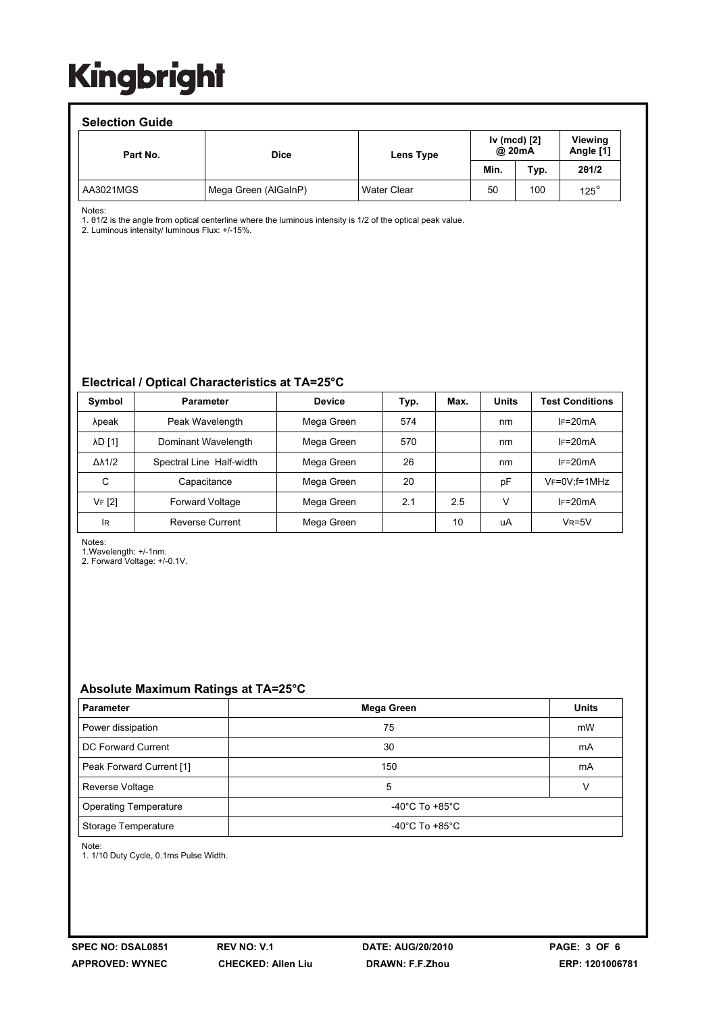| <b>Selection Guide</b> |                      |                    |                        |      |                             |  |  |  |  |
|------------------------|----------------------|--------------------|------------------------|------|-----------------------------|--|--|--|--|
| Part No.               | <b>Dice</b>          | Lens Type          | Iv (mcd) [2]<br>@ 20mA |      | <b>Viewing</b><br>Angle [1] |  |  |  |  |
|                        |                      |                    | Min.                   | Typ. | 201/2                       |  |  |  |  |
| AA3021MGS              | Mega Green (AlGaInP) | <b>Water Clear</b> | 50                     | 100  | $125^\circ$                 |  |  |  |  |

Notes:

1. θ1/2 is the angle from optical centerline where the luminous intensity is 1/2 of the optical peak value.

2. Luminous intensity/ luminous Flux: +/-15%.

### **Electrical / Optical Characteristics at TA=25°C**

| Symbol              | <b>Parameter</b>         | <b>Device</b> | Typ. | Max. | <b>Units</b> | <b>Test Conditions</b> |
|---------------------|--------------------------|---------------|------|------|--------------|------------------------|
| λpeak               | Peak Wavelength          | Mega Green    | 574  |      | nm           | $IF=20mA$              |
| <b>AD [1]</b>       | Dominant Wavelength      | Mega Green    | 570  |      | nm           | $IF=20mA$              |
| $\Delta\lambda$ 1/2 | Spectral Line Half-width | Mega Green    | 26   |      | nm           | $IF=20mA$              |
| C                   | Capacitance              | Mega Green    | 20   |      | рF           | $V_F = 0V$ ; f=1MHz    |
| VF [2]              | Forward Voltage          | Mega Green    | 2.1  | 2.5  | V            | $IF=20mA$              |
| <b>IR</b>           | <b>Reverse Current</b>   | Mega Green    |      | 10   | uA           | $V_R = 5V$             |

Notes:

1.Wavelength: +/-1nm.

2. Forward Voltage: +/-0.1V.

### **Absolute Maximum Ratings at TA=25°C**

| <b>Parameter</b>             | Mega Green                           | <b>Units</b> |  |  |
|------------------------------|--------------------------------------|--------------|--|--|
| Power dissipation            | 75                                   | mW           |  |  |
| DC Forward Current           | 30                                   | mA           |  |  |
| Peak Forward Current [1]     | 150                                  | mA           |  |  |
| Reverse Voltage              | 5                                    |              |  |  |
| <b>Operating Temperature</b> | -40 $^{\circ}$ C To +85 $^{\circ}$ C |              |  |  |
| Storage Temperature          | -40 $^{\circ}$ C To +85 $^{\circ}$ C |              |  |  |

Note:

1. 1/10 Duty Cycle, 0.1ms Pulse Width.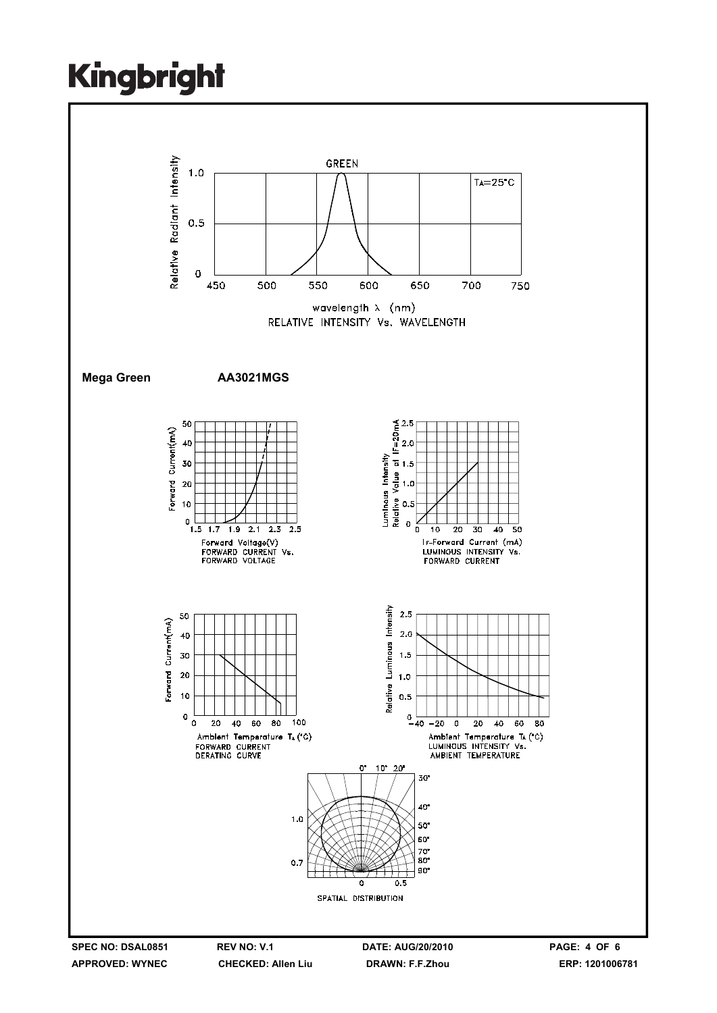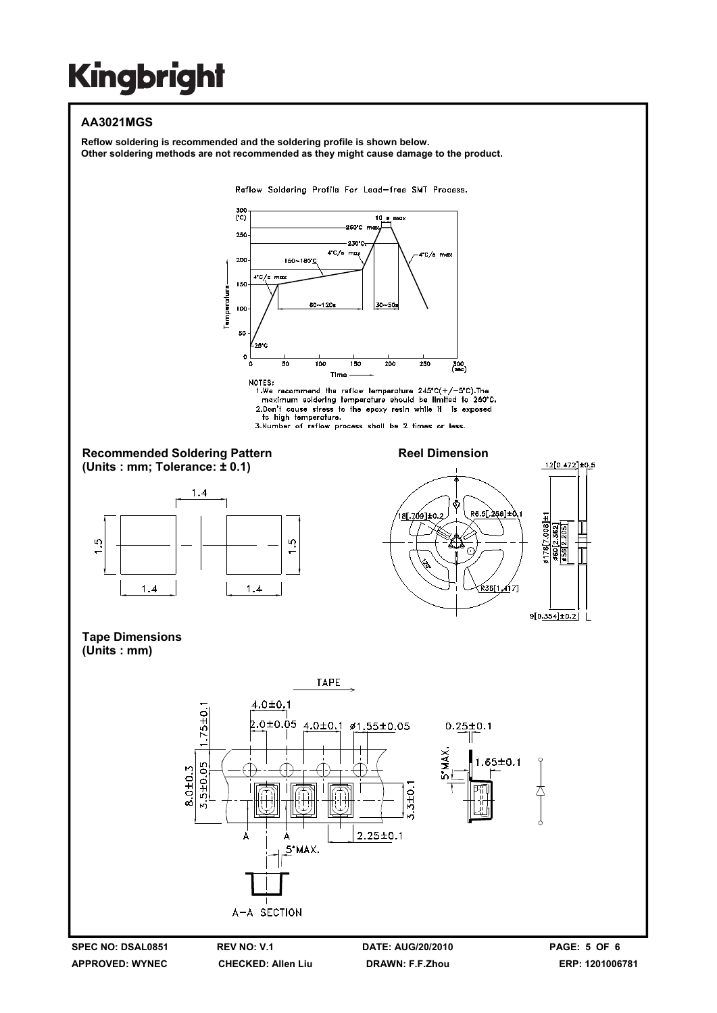## **AA3021MGS**

**Reflow soldering is recommended and the soldering profile is shown below. Other soldering methods are not recommended as they might cause damage to the product.**